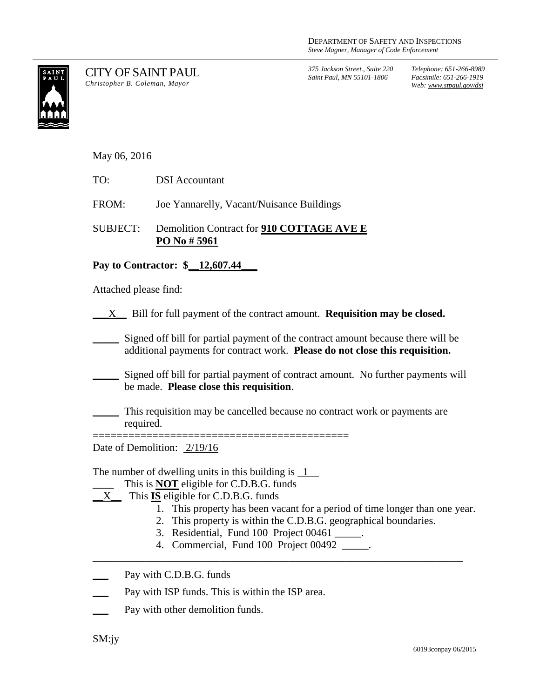

CITY OF SAINT PAUL *Christopher B. Coleman, Mayor*

*375 Jackson Street., Suite 220 Saint Paul, MN 55101-1806*

*Telephone: 651-266-8989 Facsimile: 651-266-1919 Web: www.stpaul.gov/dsi*

May 06, 2016

FROM: Joe Yannarelly, Vacant/Nuisance Buildings

SUBJECT: Demolition Contract for **910 COTTAGE AVE E PO No # 5961**

## **Pay to Contractor: \$\_\_12,607.44\_\_\_**

Attached please find:

\_\_\_X\_\_ Bill for full payment of the contract amount. **Requisition may be closed.**

Signed off bill for partial payment of the contract amount because there will be additional payments for contract work. **Please do not close this requisition.**

Signed off bill for partial payment of contract amount. No further payments will be made. **Please close this requisition**.

\_\_\_\_\_ This requisition may be cancelled because no contract work or payments are required.

Date of Demolition: 2/19/16

The number of dwelling units in this building is  $\frac{1}{1}$ 

- This is **NOT** eligible for C.D.B.G. funds
- $X$  This **IS** eligible for C.D.B.G. funds
	- 1. This property has been vacant for a period of time longer than one year.
	- 2. This property is within the C.D.B.G. geographical boundaries.

======================

- 3. Residential, Fund 100 Project 00461 \_\_\_\_\_.
- 4. Commercial, Fund 100 Project 00492 \_\_\_\_\_.

\_\_\_\_\_\_\_\_\_\_\_\_\_\_\_\_\_\_\_\_\_\_\_\_\_\_\_\_\_\_\_\_\_\_\_\_\_\_\_\_\_\_\_\_\_\_\_\_\_\_\_\_\_\_\_\_\_\_\_\_\_\_\_\_\_\_\_\_\_\_

Pay with C.D.B.G. funds

- Pay with ISP funds. This is within the ISP area.
- Pay with other demolition funds.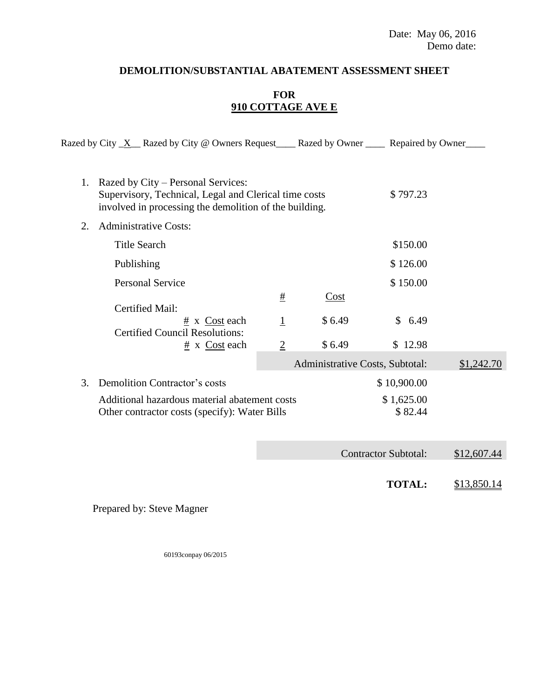## **DEMOLITION/SUBSTANTIAL ABATEMENT ASSESSMENT SHEET**

## **FOR 910 COTTAGE AVE E**

|  |                                    | Razed by City $X$ Razed by City @ Owners Request | Razed by Owner | Repaired by Owner |  |
|--|------------------------------------|--------------------------------------------------|----------------|-------------------|--|
|  |                                    |                                                  |                |                   |  |
|  | Razed by City – Personal Services: |                                                  |                |                   |  |

|    | Supervisory, Technical, Legal and Clerical time costs<br>involved in processing the demolition of the building. |                | \$797.23                        |                        |            |
|----|-----------------------------------------------------------------------------------------------------------------|----------------|---------------------------------|------------------------|------------|
| 2. | <b>Administrative Costs:</b>                                                                                    |                |                                 |                        |            |
|    | Title Search                                                                                                    |                |                                 | \$150.00               |            |
|    | Publishing                                                                                                      |                |                                 | \$126.00               |            |
|    | <b>Personal Service</b>                                                                                         |                |                                 | \$150.00               |            |
|    | Certified Mail:                                                                                                 | #              | Cost                            |                        |            |
|    | # x Cost each<br><b>Certified Council Resolutions:</b>                                                          | $\mathbf{1}$   | \$6.49                          | 6.49<br>$\mathbb{S}^-$ |            |
|    | $# x \text{ Cost each}$                                                                                         | $\overline{2}$ | \$6.49                          | \$12.98                |            |
|    |                                                                                                                 |                | Administrative Costs, Subtotal: |                        | \$1,242.70 |
| 3. | <b>Demolition Contractor's costs</b>                                                                            |                | \$10,900.00                     |                        |            |
|    | Additional hazardous material abatement costs<br>Other contractor costs (specify): Water Bills                  |                | \$1,625.00<br>\$82.44           |                        |            |
|    |                                                                                                                 |                |                                 |                        |            |

Contractor Subtotal: \$12,607.44

**TOTAL:** \$13,850.14

Prepared by: Steve Magner

60193conpay 06/2015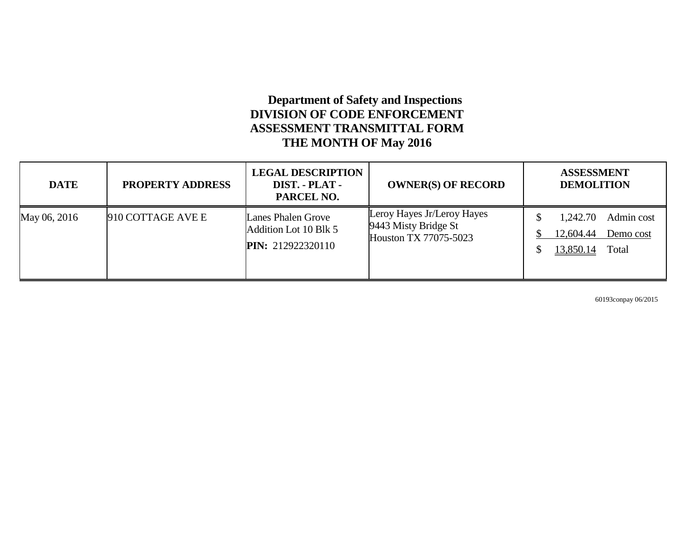## **Department of Safety and Inspections DIVISION OF CODE ENFORCEMENT ASSESSMENT TRANSMITTAL FORM THE MONTH OF May 2016**

| <b>DATE</b>  | <b>PROPERTY ADDRESS</b> | <b>LEGAL DESCRIPTION</b><br>DIST. - PLAT -<br>PARCEL NO.                | <b>OWNER(S) OF RECORD</b>                                                   | <b>ASSESSMENT</b><br><b>DEMOLITION</b>                                        |
|--------------|-------------------------|-------------------------------------------------------------------------|-----------------------------------------------------------------------------|-------------------------------------------------------------------------------|
| May 06, 2016 | 910 COTTAGE AVE E       | Lanes Phalen Grove<br>Addition Lot 10 Blk 5<br><b>PIN:</b> 212922320110 | Leroy Hayes Jr/Leroy Hayes<br>9443 Misty Bridge St<br>Houston TX 77075-5023 | Admin cost<br>1,242.70<br>12,604.44<br>Demo cost<br><u>13,850.14</u><br>Total |

60193conpay 06/2015